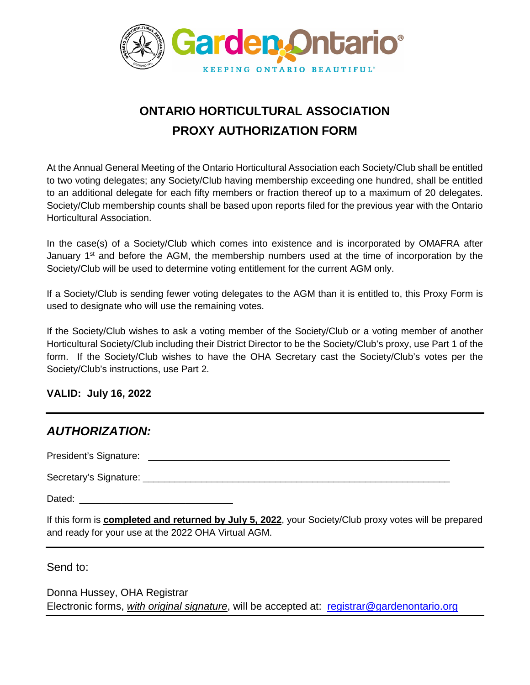

# **ONTARIO HORTICULTURAL ASSOCIATION PROXY AUTHORIZATION FORM**

At the Annual General Meeting of the Ontario Horticultural Association each Society/Club shall be entitled to two voting delegates; any Society/Club having membership exceeding one hundred, shall be entitled to an additional delegate for each fifty members or fraction thereof up to a maximum of 20 delegates. Society/Club membership counts shall be based upon reports filed for the previous year with the Ontario Horticultural Association.

In the case(s) of a Society/Club which comes into existence and is incorporated by OMAFRA after January  $1<sup>st</sup>$  and before the AGM, the membership numbers used at the time of incorporation by the Society/Club will be used to determine voting entitlement for the current AGM only.

If a Society/Club is sending fewer voting delegates to the AGM than it is entitled to, this Proxy Form is used to designate who will use the remaining votes.

If the Society/Club wishes to ask a voting member of the Society/Club or a voting member of another Horticultural Society/Club including their District Director to be the Society/Club's proxy, use Part 1 of the form. If the Society/Club wishes to have the OHA Secretary cast the Society/Club's votes per the Society/Club's instructions, use Part 2.

#### **VALID: July 16, 2022**

| <b>AUTHORIZATION:</b>                                                                                                                                                 |  |
|-----------------------------------------------------------------------------------------------------------------------------------------------------------------------|--|
|                                                                                                                                                                       |  |
|                                                                                                                                                                       |  |
|                                                                                                                                                                       |  |
| If this form is <b>completed and returned by July 5, 2022</b> , your Society/Club proxy votes will be prepared<br>and ready for your use at the 2022 OHA Virtual AGM. |  |

Send to:

Donna Hussey, OHA Registrar Electronic forms, *with original signature*, will be accepted at: [registrar@gardenontario.org](mailto:registrar@gardenontario.org)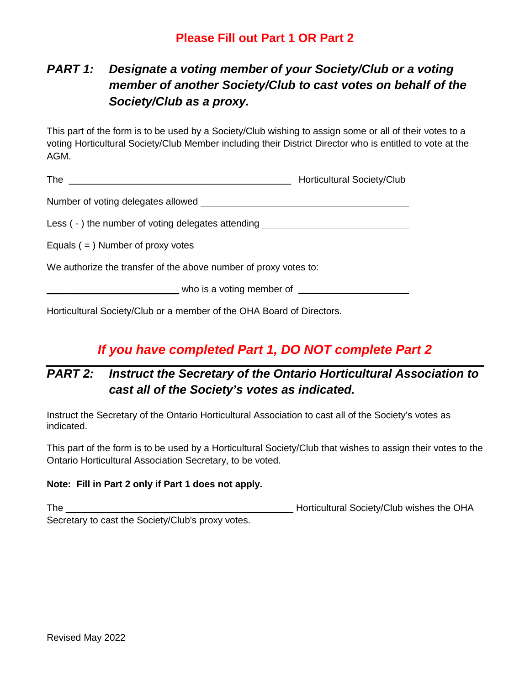### **Please Fill out Part 1 OR Part 2**

## *PART 1: Designate a voting member of your Society/Club or a voting member of another Society/Club to cast votes on behalf of the Society/Club as a proxy.*

This part of the form is to be used by a Society/Club wishing to assign some or all of their votes to a voting Horticultural Society/Club Member including their District Director who is entitled to vote at the AGM.

|                                                                                  | <b>Horticultural Society/Club</b> |
|----------------------------------------------------------------------------------|-----------------------------------|
|                                                                                  |                                   |
| Less (-) the number of voting delegates attending ______________________________ |                                   |
|                                                                                  |                                   |
| We authorize the transfer of the above number of proxy votes to:                 |                                   |
|                                                                                  | who is a voting member of         |
|                                                                                  |                                   |

Horticultural Society/Club or a member of the OHA Board of Directors.

## *If you have completed Part 1, DO NOT complete Part 2*

## *PART 2: Instruct the Secretary of the Ontario Horticultural Association to cast all of the Society's votes as indicated.*

Instruct the Secretary of the Ontario Horticultural Association to cast all of the Society's votes as indicated.

This part of the form is to be used by a Horticultural Society/Club that wishes to assign their votes to the Ontario Horticultural Association Secretary, to be voted.

#### **Note: Fill in Part 2 only if Part 1 does not apply.**

The \_\_\_\_\_\_\_\_\_\_\_\_\_\_\_\_\_\_\_\_\_\_\_\_\_\_\_\_\_\_\_\_\_\_\_\_\_\_\_\_\_\_\_ Horticultural Society/Club wishes the OHA Secretary to cast the Society/Club's proxy votes.